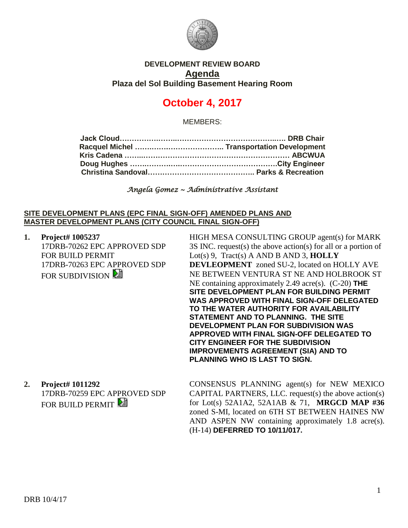

## **DEVELOPMENT REVIEW BOARD Agenda Plaza del Sol Building Basement Hearing Room**

# **October 4, 2017**

MEMBERS:

*Angela Gomez ~ Administrative Assistant* 

#### **SITE DEVELOPMENT PLANS (EPC FINAL SIGN-OFF) AMENDED PLANS AND MASTER DEVELOPMENT PLANS (CITY COUNCIL FINAL SIGN-OFF)**

**1. Project# 1005237** 17DRB-70262 EPC APPROVED SDP FOR BUILD PERMIT 17DRB-70263 EPC APPROVED SDP FOR SUBDIVISION

HIGH MESA CONSULTING GROUP agent(s) for MARK 3S INC. request(s) the above action(s) for all or a portion of Lot(s) 9, Tract(s) A AND B AND 3, **HOLLY DEVLEOPMENT** zoned SU-2, located on HOLLY AVE NE BETWEEN VENTURA ST NE AND HOLBROOK ST NE containing approximately 2.49 acre(s). (C-20) **THE SITE DEVELOPMENT PLAN FOR BUILDING PERMIT WAS APPROVED WITH FINAL SIGN-OFF DELEGATED TO THE WATER AUTHORITY FOR AVAILABILITY STATEMENT AND TO PLANNING. THE SITE DEVELOPMENT PLAN FOR SUBDIVISION WAS APPROVED WITH FINAL SIGN-OFF DELEGATED TO CITY ENGINEER FOR THE SUBDIVISION IMPROVEMENTS AGREEMENT (SIA) AND TO PLANNING WHO IS LAST TO SIGN.**

## **2. Project# 1011292**

17DRB-70259 EPC APPROVED SDP FOR BUILD PERMIT

CONSENSUS PLANNING agent(s) for NEW MEXICO CAPITAL PARTNERS, LLC. request(s) the above action(s) for Lot(s) 52A1A2, 52A1AB & 71, **MRGCD MAP #36** zoned S-MI, located on 6TH ST BETWEEN HAINES NW AND ASPEN NW containing approximately 1.8 acre(s). (H-14) **DEFERRED TO 10/11/017.**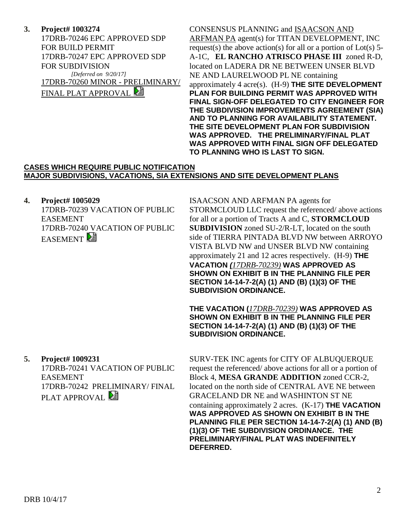**3. Project# 1003274** 17DRB-70246 EPC APPROVED SDP FOR BUILD PERMIT 17DRB-70247 EPC APPROVED SDP FOR SUBDIVISION *[Deferred on 9/20/17]* 17DRB-70260 MINOR - PRELIMINARY/ FINAL PLAT APPROVAL

CONSENSUS PLANNING and ISAACSON AND ARFMAN PA agent(s) for TITAN DEVELOPMENT, INC request(s) the above action(s) for all or a portion of  $Lot(s)$  5-A-1C, **EL RANCHO ATRISCO PHASE III** zoned R-D, located on LADERA DR NE BETWEEN UNSER BLVD NE AND LAURELWOOD PL NE containing approximately 4 acre(s). (H-9) **THE SITE DEVELOPMENT PLAN FOR BUILDING PERMIT WAS APPROVED WITH FINAL SIGN-OFF DELEGATED TO CITY ENGINEER FOR THE SUBDIVISION IMPROVEMENTS AGREEMENT (SIA) AND TO PLANNING FOR AVAILABILITY STATEMENT. THE SITE DEVELOPMENT PLAN FOR SUBDIVISION WAS APPROVED. THE PRELIMINARY/FINAL PLAT WAS APPROVED WITH FINAL SIGN OFF DELEGATED TO PLANNING WHO IS LAST TO SIGN.**

#### **CASES WHICH REQUIRE PUBLIC NOTIFICATION MAJOR SUBDIVISIONS, VACATIONS, SIA EXTENSIONS AND SITE DEVELOPMENT PLANS**

## **4. Project# 1005029**

17DRB-70239 VACATION OF PUBLIC EASEMENT 17DRB-70240 VACATION OF PUBLIC **EASEMENT** 

ISAACSON AND ARFMAN PA agents for STORMCLOUD LLC request the referenced/ above actions for all or a portion of Tracts A and C, **STORMCLOUD SUBDIVISION** zoned SU-2/R-LT, located on the south side of TIERRA PINTADA BLVD NW between ARROYO VISTA BLVD NW and UNSER BLVD NW containing approximately 21 and 12 acres respectively. (H-9) **THE VACATION** *(17DRB-70239)* **WAS APPROVED AS SHOWN ON EXHIBIT B IN THE PLANNING FILE PER SECTION 14-14-7-2(A) (1) AND (B) (1)(3) OF THE SUBDIVISION ORDINANCE.**

**THE VACATION (***17DRB-70239)* **WAS APPROVED AS SHOWN ON EXHIBIT B IN THE PLANNING FILE PER SECTION 14-14-7-2(A) (1) AND (B) (1)(3) OF THE SUBDIVISION ORDINANCE.**

**5. Project# 1009231** 17DRB-70241 VACATION OF PUBLIC EASEMENT

17DRB-70242 PRELIMINARY/ FINAL PLAT APPROVAL  $\Box$ 

SURV-TEK INC agents for CITY OF ALBUQUERQUE request the referenced/ above actions for all or a portion of Block 4, **MESA GRANDE ADDITION** zoned CCR-2, located on the north side of CENTRAL AVE NE between GRACELAND DR NE and WASHINTON ST NE containing approximately 2 acres. (K-17) **THE VACATION WAS APPROVED AS SHOWN ON EXHIBIT B IN THE PLANNING FILE PER SECTION 14-14-7-2(A) (1) AND (B) (1)(3) OF THE SUBDIVISION ORDINANCE. THE PRELIMINARY/FINAL PLAT WAS INDEFINITELY DEFERRED.**